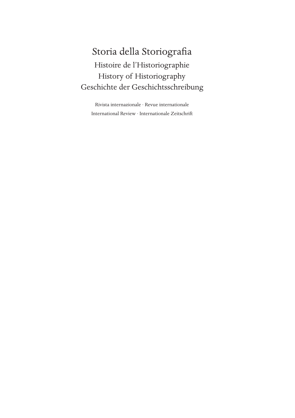## Storia della Storiografia Histoire de l'Historiographie History of Historiography Geschichte der Geschichtsschreibung

Rivista internazionale · Revue internationale International Review · Internationale Zeitschrift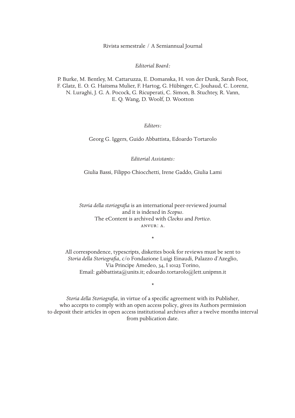Rivista semestrale / A Semiannual Journal

*Editorial Board:*

P. Burke, M. Bentley, M. Cattaruzza, E. Domanska, H. von der Dunk, Sarah Foot, F. Glatz, E. O. G. Haitsma Mulier, F. Hartog, G. Hübinger, C. Jouhaud, C. Lorenz, N. Luraghi, J. G. A. Pocock, G. Ricuperati, C. Simon, B. Stuchtey, R. Vann, E. Q. Wang, D. Woolf, D. Wootton

*Editors:*

Georg G. Iggers, Guido Abbattista, Edoardo Tortarolo

*Editorial Assistants:*

Giulia Bassi, Filippo Chiocchetti, Irene Gaddo, Giulia Lami

*Storia della storiografia* is an international peer-reviewed journal and it is indexed in *Scopus*. The eContent is archived with *Clockss* and *Portico.* anvur: a.

\*

All correspondence, typescripts, diskettes book for reviews must be sent to *Storia della Storiografia*, c/o Fondazione Luigi Einaudi, Palazzo d'Azeglio, Via Principe Amedeo, 34, I 10123 Torino, Email: gabbattista@units.it; edoardo.tortarolo@lett.unipmn.it

*Storia della Storiografia*, in virtue of a specific agreement with its Publisher, who accepts to comply with an open access policy, gives its Authors permission to deposit their articles in open access institutional archives after a twelve months interval from publication date.

\*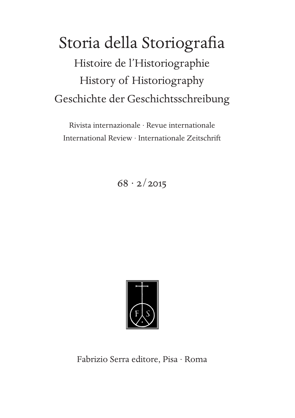# Storia della Storiografia Histoire de l'Historiographie History of Historiography Geschichte der Geschichtsschreibung

Rivista internazionale · Revue internationale International Review · Internationale Zeitschrift

 $68 \cdot 2/2015$ 



Fabrizio Serra editore, Pisa · Roma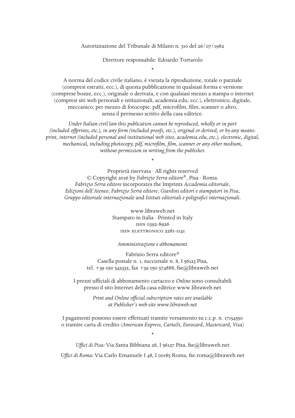Autorizzazione del Tribunale di Milano n. 310 del 26/07/1982

Direttore responsabile: Edoardo Tortarolo

\*

A norma del codice civile italiano, è vietata la riproduzione, totale o parziale (compresi estratti, ecc.), di questa pubblicazione in qualsiasi forma e versione (comprese bozze, ecc.), originale o derivata, e con qualsiasi mezzo a stampa o internet (compresi siti web personali e istituzionali, academia.edu, ecc.), elettronico, digitale, meccanico, per mezzo di fotocopie, pdf, microfilm, film, scanner o altro, senza il permesso scritto della casa editrice.

*Under Italian civil law this publication cannot be reproduced, wholly or in part (included offprints, etc.), in any form (included proofs, etc.), original or derived, or by any means: print, internet (included personal and institutional web sites, academia.edu, etc.), electronic, digital, mechanical, including photocopy, pdf, microfilm, film, scanner or any other medium, without permission in writing from the publisher.*

\*

Proprietà riservata · All rights reserved © Copyright 2016 by *Fabrizio Serra editore*®, Pisa · Roma. *Fabrizio Serra editore* incorporates the Imprints *Accademia editoriale*, *Edizioni dell'Ateneo*, *Fabrizio Serra editore*, *Giardini editori e stampatori in Pisa*, *Gruppo editoriale internazionale* and *Istituti editoriali e poligrafici internazionali*.

> www.libraweb.net Stampato in Italia · Printed in Italy issn 0392-8926 issn elettronico 2281-1141

*Amministrazione e abbonamenti*

Fabrizio Serra editore® Casella postale n. 1, succursale n. 8, I 56123 Pisa, tel. +39 050 542332, fax +39 050 574888, fse@libraweb.net

I prezzi ufficiali di abbonamento cartaceo e *Online* sono consultabili presso il sito Internet della casa editrice www.libraweb.net

> *Print and Online official subscription rates are available at Publisher's web-site www.libraweb.net*

I pagamenti possono essere effettuati tramite versamento su c.c.p. n. 17154550 o tramite carta di credito (*American Express, CartaSi, Eurocard, Mastercard, Visa*)

\*

*Uffici di Pisa:* Via Santa Bibbiana 28, I 56127 Pisa, fse@libraweb.net *Uffici di Roma:* Via Carlo Emanuele I 48, I 00185 Roma, fse.roma@libraweb.net